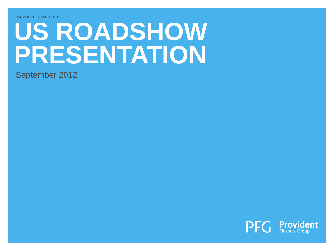# **US ROADSHOW PRESENTATION**

September 2012

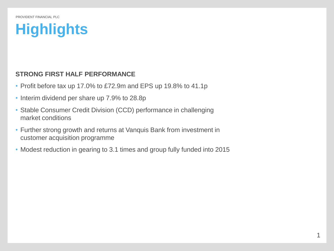## **Highlights**

#### **STRONG FIRST HALF PERFORMANCE**

- Profit before tax up 17.0% to £72.9m and EPS up 19.8% to 41.1p
- Interim dividend per share up 7.9% to 28.8p
- Stable Consumer Credit Division (CCD) performance in challenging market conditions
- Further strong growth and returns at Vanquis Bank from investment in customer acquisition programme
- Modest reduction in gearing to 3.1 times and group fully funded into 2015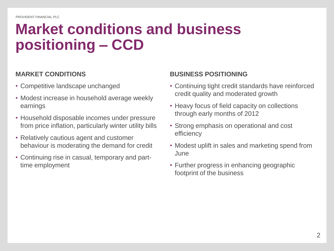## **Market conditions and business positioning – CCD**

#### **MARKET CONDITIONS**

- Competitive landscape unchanged
- Modest increase in household average weekly earnings
- Household disposable incomes under pressure from price inflation, particularly winter utility bills
- Relatively cautious agent and customer behaviour is moderating the demand for credit
- Continuing rise in casual, temporary and parttime employment

#### **BUSINESS POSITIONING**

- Continuing tight credit standards have reinforced credit quality and moderated growth
- Heavy focus of field capacity on collections through early months of 2012
- Strong emphasis on operational and cost efficiency
- Modest uplift in sales and marketing spend from June
- Further progress in enhancing geographic footprint of the business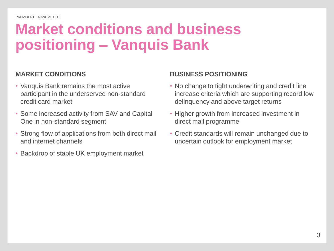## **Market conditions and business positioning – Vanquis Bank**

#### **MARKET CONDITIONS**

- Vanquis Bank remains the most active participant in the underserved non-standard credit card market
- Some increased activity from SAV and Capital One in non-standard segment
- Strong flow of applications from both direct mail and internet channels
- Backdrop of stable UK employment market

#### **BUSINESS POSITIONING**

- No change to tight underwriting and credit line increase criteria which are supporting record low delinquency and above target returns
- Higher growth from increased investment in direct mail programme
- Credit standards will remain unchanged due to uncertain outlook for employment market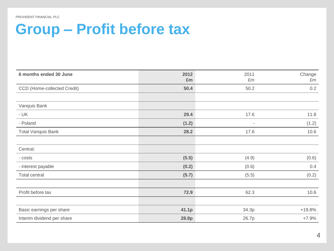### **Group – Profit before tax**

| 6 months ended 30 June             | 2012<br>£m | 2011<br>£m               | Change<br>£m |
|------------------------------------|------------|--------------------------|--------------|
| <b>CCD</b> (Home-collected Credit) | 50.4       | 50.2                     | 0.2          |
|                                    |            |                          |              |
| Vanquis Bank                       |            |                          |              |
| $- UK$                             | 29.4       | 17.6                     | 11.8         |
| - Poland                           | (1.2)      | $\overline{\phantom{a}}$ | (1.2)        |
| <b>Total Vanquis Bank</b>          | 28.2       | 17.6                     | 10.6         |
|                                    |            |                          |              |
| Central:                           |            |                          |              |
| - costs                            | (5.5)      | (4.9)                    | (0.6)        |
| - interest payable                 | (0.2)      | (0.6)                    | 0.4          |
| Total central                      | (5.7)      | (5.5)                    | (0.2)        |
|                                    |            |                          |              |
| Profit before tax                  | 72.9       | 62.3                     | 10.6         |
|                                    |            |                          |              |
| Basic earnings per share           | 41.1p      | 34.3p                    | $+19.8%$     |
| Interim dividend per share         | 28.8p      | 26.7p                    | $+7.9%$      |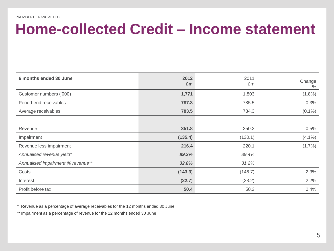#### **Home-collected Credit – Income statement**

| 6 months ended 30 June            | 2012<br>£m | 2011<br>£m | Change<br>$\frac{0}{0}$ |
|-----------------------------------|------------|------------|-------------------------|
| Customer numbers ('000)           | 1,771      | 1,803      | $(1.8\%)$               |
| Period-end receivables            | 787.8      | 785.5      | 0.3%                    |
| Average receivables               | 783.5      | 784.3      | $(0.1\%)$               |
|                                   |            |            |                         |
| Revenue                           | 351.8      | 350.2      | 0.5%                    |
| Impairment                        | (135.4)    | (130.1)    | $(4.1\%)$               |
| Revenue less impairment           | 216.4      | 220.1      | $(1.7\%)$               |
| Annualised revenue yield*         | 89.2%      | 89.4%      |                         |
| Annualised impairment % revenue** | 32.8%      | 31.2%      |                         |
| Costs                             | (143.3)    | (146.7)    | 2.3%                    |
| Interest                          | (22.7)     | (23.2)     | 2.2%                    |
| Profit before tax                 | 50.4       | 50.2       | 0.4%                    |

\* Revenue as a percentage of average receivables for the 12 months ended 30 June

\*\* Impairment as a percentage of revenue for the 12 months ended 30 June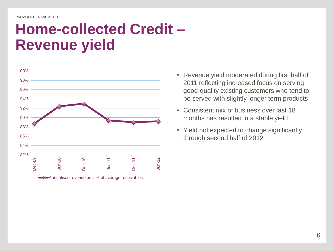### **Home-collected Credit – Revenue yield**



2011 reflecting increased focus on serving good-quality existing customers who tend to be served with slightly longer term products

• Revenue yield moderated during first half of

- Consistent mix of business over last 18 months has resulted in a stable yield
- Yield not expected to change significantly through second half of 2012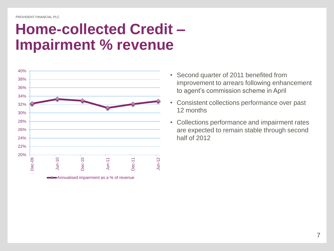### **Home-collected Credit – Impairment % revenue**



- Second quarter of 2011 benefited from improvement to arrears following enhancement to agent's commission scheme in April
- Consistent collections performance over past 12 months
- Collections performance and impairment rates are expected to remain stable through second half of 2012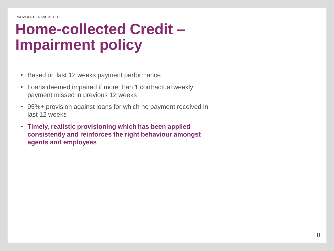## **Home-collected Credit – Impairment policy**

- Based on last 12 weeks payment performance
- Loans deemed impaired if more than 1 contractual weekly payment missed in previous 12 weeks
- 95%+ provision against loans for which no payment received in last 12 weeks
- **Timely, realistic provisioning which has been applied consistently and reinforces the right behaviour amongst agents and employees**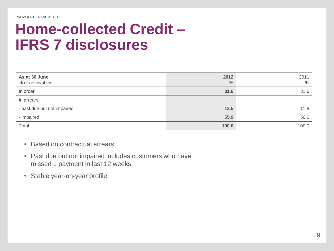### **Home-collected Credit – IFRS 7 disclosures**

| As at 30 June<br>% of receivables | 2012<br>$\frac{0}{0}$ | 2011<br>$\%$ |
|-----------------------------------|-----------------------|--------------|
| In order                          | 31.6                  | 31.6         |
| In arrears:                       |                       |              |
| - past due but not impaired       | 12.5                  | 11.8         |
| - impaired                        | 55.9                  | 56.6         |
| Total                             | 100.0                 | 100.0        |

- Based on contractual arrears
- Past due but not impaired includes customers who have missed 1 payment in last 12 weeks
- Stable year-on-year profile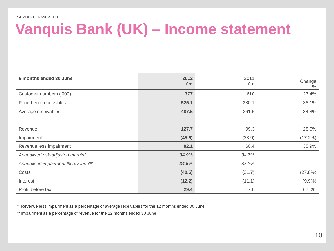## **Vanquis Bank (UK) – Income statement**

| 6 months ended 30 June            | 2012<br>£m | 2011<br>£m | Change<br>$\frac{0}{0}$ |
|-----------------------------------|------------|------------|-------------------------|
| Customer numbers ('000)           | 777        | 610        | 27.4%                   |
| Period-end receivables            | 525.1      | 380.1      | 38.1%                   |
| Average receivables               | 487.5      | 361.6      | 34.8%                   |
|                                   |            |            |                         |
| Revenue                           | 127.7      | 99.3       | 28.6%                   |
| Impairment                        | (45.6)     | (38.9)     | $(17.2\%)$              |
| Revenue less impairment           | 82.1       | 60.4       | 35.9%                   |
| Annualised risk-adjusted margin*  | 34.9%      | 34.7%      |                         |
| Annualised impairment % revenue** | 34.5%      | 37.2%      |                         |
| Costs                             | (40.5)     | (31.7)     | (27.8%)                 |
| Interest                          | (12.2)     | (11.1)     | $(9.9\%)$               |
| Profit before tax                 | 29.4       | 17.6       | 67.0%                   |

\* Revenue less impairment as a percentage of average receivables for the 12 months ended 30 June

\*\* Impairment as a percentage of revenue for the 12 months ended 30 June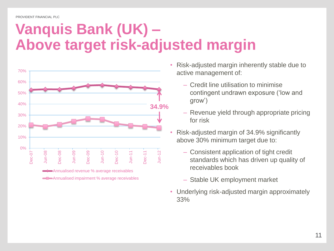## **Vanquis Bank (UK) – Above target risk-adjusted margin**



- Risk-adjusted margin inherently stable due to active management of:
	- Credit line utilisation to minimise contingent undrawn exposure ('low and grow')
	- Revenue yield through appropriate pricing for risk
- Risk-adjusted margin of 34.9% significantly above 30% minimum target due to:
	- Consistent application of tight credit standards which has driven up quality of receivables book
	- Stable UK employment market
- Underlying risk-adjusted margin approximately 33%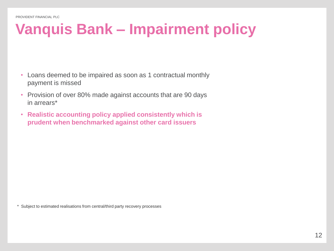## **Vanquis Bank – Impairment policy**

- Loans deemed to be impaired as soon as 1 contractual monthly payment is missed
- Provision of over 80% made against accounts that are 90 days in arrears\*
- **Realistic accounting policy applied consistently which is prudent when benchmarked against other card issuers**

\* Subject to estimated realisations from central/third party recovery processes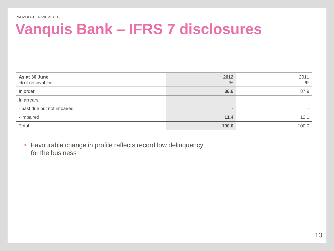## **Vanquis Bank – IFRS 7 disclosures**

| As at 30 June<br>% of receivables | 2012<br>$\frac{0}{0}$ | 2011<br>$\%$ |
|-----------------------------------|-----------------------|--------------|
| In order                          | 88.6                  | 87.9         |
| In arrears:                       |                       |              |
| - past due but not impaired       |                       |              |
| - impaired                        | 11.4                  | 12.1         |
| Total                             | 100.0                 | 100.0        |

• Favourable change in profile reflects record low delinquency for the business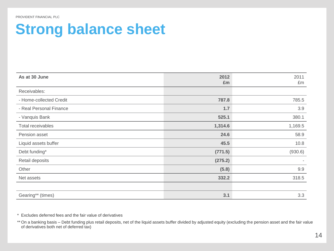### **Strong balance sheet**

| As at 30 June           | 2012<br>£m | 2011<br>£m |
|-------------------------|------------|------------|
| Receivables:            |            |            |
| - Home-collected Credit | 787.8      | 785.5      |
| - Real Personal Finance | 1.7        | 3.9        |
| - Vanquis Bank          | 525.1      | 380.1      |
| Total receivables       | 1,314.6    | 1,169.5    |
| Pension asset           | 24.6       | 58.9       |
| Liquid assets buffer    | 45.5       | 10.8       |
| Debt funding*           | (771.5)    | (930.6)    |
| Retail deposits         | (275.2)    |            |
| Other                   | (5.8)      | 9.9        |
| Net assets              | 332.2      | 318.5      |
|                         |            |            |
| Gearing** (times)       | 3.1        | 3.3        |

\* Excludes deferred fees and the fair value of derivatives

\*\* On a banking basis – Debt funding plus retail deposits, net of the liquid assets buffer divided by adjusted equity (excluding the pension asset and the fair value of derivatives both net of deferred tax)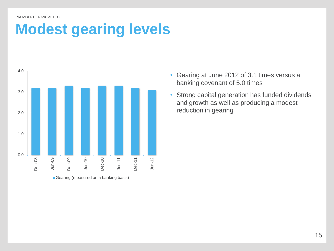### **Modest gearing levels**



Gearing (measured on a banking basis)

- Gearing at June 2012 of 3.1 times versus a banking covenant of 5.0 times
- Strong capital generation has funded dividends and growth as well as producing a modest reduction in gearing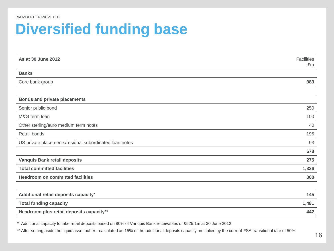### **Diversified funding base**

| As at 30 June 2012                                     | <b>Facilities</b><br>£m |
|--------------------------------------------------------|-------------------------|
| <b>Banks</b>                                           |                         |
| Core bank group                                        | 383                     |
|                                                        |                         |
| <b>Bonds and private placements</b>                    |                         |
| Senior public bond                                     | 250                     |
| M&G term loan                                          | 100                     |
| Other sterling/euro medium term notes                  | 40                      |
| Retail bonds                                           |                         |
| US private placements/residual subordinated loan notes | 93                      |
|                                                        | 678                     |
| <b>Vanquis Bank retail deposits</b>                    | 275                     |
| <b>Total committed facilities</b>                      | 1,336                   |
| <b>Headroom on committed facilities</b>                | 308                     |
|                                                        |                         |
| Additional retail deposits capacity*                   | 145                     |
| <b>Total funding capacity</b>                          | 1,481                   |
| Headroom plus retail deposits capacity**               | 442                     |

\* Additional capacity to take retail deposits based on 80% of Vanquis Bank receivables of £525.1m at 30 June 2012

\*\* After setting aside the liquid asset buffer - calculated as 15% of the additional deposits capacity multiplied by the current FSA transitional rate of 50%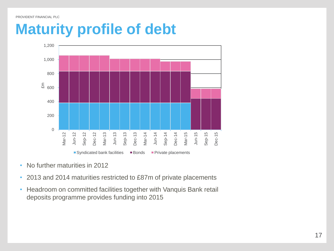#### **Maturity profile of debt**



- No further maturities in 2012
- 2013 and 2014 maturities restricted to £87m of private placements
- Headroom on committed facilities together with Vanquis Bank retail deposits programme provides funding into 2015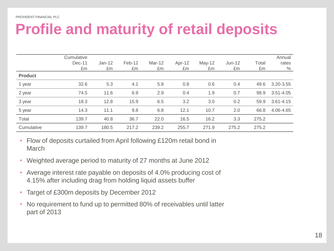## **Profile and maturity of retail deposits**

|                | Cumulative<br>$Dec-11$<br>£m | $Jan-12$<br>£m | Feb-12<br>£m | Mar-12<br>£m | Apr-12<br>£m | $May-12$<br>£m | $Jun-12$<br>£m | Total<br>£m | Annual<br>rates<br>$\%$ |
|----------------|------------------------------|----------------|--------------|--------------|--------------|----------------|----------------|-------------|-------------------------|
| <b>Product</b> |                              |                |              |              |              |                |                |             |                         |
| 1 year         | 32.6                         | 5.3            | 4.1          | 5.8          | 0.8          | 0.6            | 0.4            | 49.6        | 3.20-3.55               |
| 2 year         | 74.5                         | 11.6           | 6.9          | 2.9          | 0.4          | 1.9            | 0.7            | 98.9        | $3.51 - 4.05$           |
| 3 year         | 18.3                         | 12.8           | 15.9         | 6.5          | 3.2          | 3.0            | 0.2            | 59.9        | $3.61 - 4.15$           |
| 5 year         | 14.3                         | 11.1           | 9.8          | 6.8          | 12.1         | 10.7           | 2.0            | 66.8        | 4.06-4.65               |
| Total          | 139.7                        | 40.8           | 36.7         | 22.0         | 16.5         | 16.2           | 3.3            | 275.2       |                         |
| Cumulative     | 139.7                        | 180.5          | 217.2        | 239.2        | 255.7        | 271.9          | 275.2          | 275.2       |                         |

- Flow of deposits curtailed from April following £120m retail bond in **March**
- Weighted average period to maturity of 27 months at June 2012
- Average interest rate payable on deposits of 4.0% producing cost of 4.15% after including drag from holding liquid assets buffer
- Target of £300m deposits by December 2012
- No requirement to fund up to permitted 80% of receivables until latter part of 2013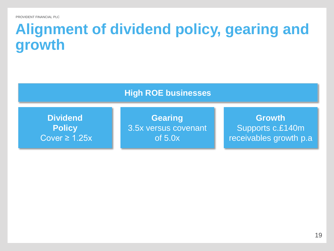### **Alignment of dividend policy, gearing and growth**

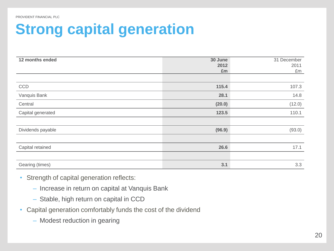## **Strong capital generation**

| 12 months ended   | 30 June<br>2012<br>£m | 31 December<br>2011<br>£m |
|-------------------|-----------------------|---------------------------|
|                   |                       |                           |
| CCD               | 115.4                 | 107.3                     |
| Vanquis Bank      | 28.1                  | 14.8                      |
| Central           | (20.0)                | (12.0)                    |
| Capital generated | 123.5                 | 110.1                     |
|                   |                       |                           |
| Dividends payable | (96.9)                | (93.0)                    |
|                   |                       |                           |
| Capital retained  | 26.6                  | 17.1                      |
|                   |                       |                           |
| Gearing (times)   | 3.1                   | 3.3                       |

- Strength of capital generation reflects:
	- Increase in return on capital at Vanquis Bank
	- Stable, high return on capital in CCD
- Capital generation comfortably funds the cost of the dividend
	- Modest reduction in gearing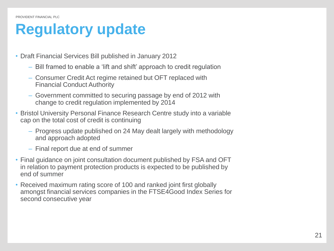### **Regulatory update**

- Draft Financial Services Bill published in January 2012
	- Bill framed to enable a 'lift and shift' approach to credit regulation
	- Consumer Credit Act regime retained but OFT replaced with Financial Conduct Authority
	- Government committed to securing passage by end of 2012 with change to credit regulation implemented by 2014
- Bristol University Personal Finance Research Centre study into a variable cap on the total cost of credit is continuing
	- Progress update published on 24 May dealt largely with methodology and approach adopted
	- Final report due at end of summer
- Final guidance on joint consultation document published by FSA and OFT in relation to payment protection products is expected to be published by end of summer
- Received maximum rating score of 100 and ranked joint first globally amongst financial services companies in the FTSE4Good Index Series for second consecutive year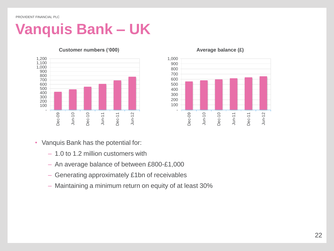## **Vanquis Bank – UK**



#### **Customer numbers ('000)**



#### **Average balance (£)**

- Vanquis Bank has the potential for:
	- 1.0 to 1.2 million customers with
	- An average balance of between £800-£1,000
	- Generating approximately £1bn of receivables
	- Maintaining a minimum return on equity of at least 30%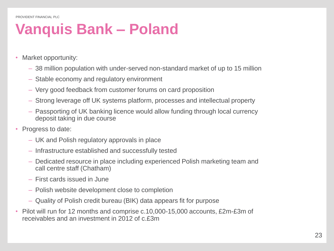## **Vanquis Bank – Poland**

- Market opportunity:
	- 38 million population with under-served non-standard market of up to 15 million
	- Stable economy and regulatory environment
	- Very good feedback from customer forums on card proposition
	- Strong leverage off UK systems platform, processes and intellectual property
	- Passporting of UK banking licence would allow funding through local currency deposit taking in due course
- Progress to date:
	- UK and Polish regulatory approvals in place
	- Infrastructure established and successfully tested
	- Dedicated resource in place including experienced Polish marketing team and call centre staff (Chatham)
	- First cards issued in June
	- Polish website development close to completion
	- Quality of Polish credit bureau (BIK) data appears fit for purpose
- Pilot will run for 12 months and comprise c.10,000-15,000 accounts, £2m-£3m of receivables and an investment in 2012 of c.£3m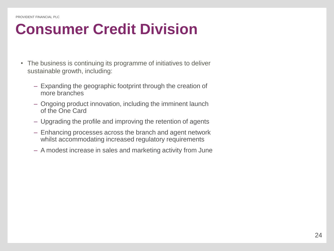## **Consumer Credit Division**

- The business is continuing its programme of initiatives to deliver sustainable growth, including:
	- Expanding the geographic footprint through the creation of more branches
	- Ongoing product innovation, including the imminent launch of the One Card
	- Upgrading the profile and improving the retention of agents
	- Enhancing processes across the branch and agent network whilst accommodating increased regulatory requirements
	- A modest increase in sales and marketing activity from June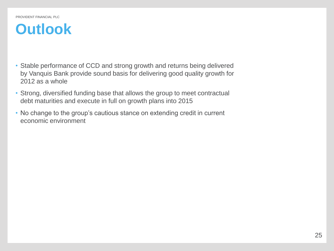#### **Outlook**

- Stable performance of CCD and strong growth and returns being delivered by Vanquis Bank provide sound basis for delivering good quality growth for 2012 as a whole
- Strong, diversified funding base that allows the group to meet contractual debt maturities and execute in full on growth plans into 2015
- No change to the group's cautious stance on extending credit in current economic environment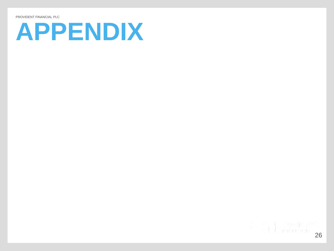# **APPENDIX**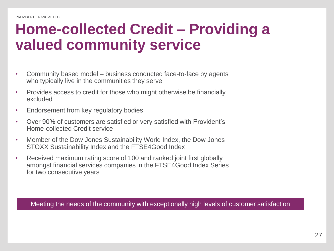### **Home-collected Credit – Providing a valued community service**

- Community based model business conducted face-to-face by agents who typically live in the communities they serve
- Provides access to credit for those who might otherwise be financially excluded
- Endorsement from key regulatory bodies
- Over 90% of customers are satisfied or very satisfied with Provident's Home-collected Credit service
- Member of the Dow Jones Sustainability World Index, the Dow Jones STOXX Sustainability Index and the FTSE4Good Index
- Received maximum rating score of 100 and ranked joint first globally amongst financial services companies in the FTSE4Good Index Series for two consecutive years

Meeting the needs of the community with exceptionally high levels of customer satisfaction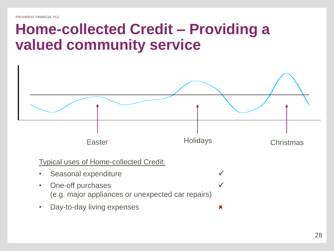#### **Home-collected Credit – Providing a valued community service**



Typical uses of Home-collected Credit:

- Seasonal expenditure
- One-off purchases (e.g. major appliances or unexpected car repairs)
- Day-to-day living expenses **x**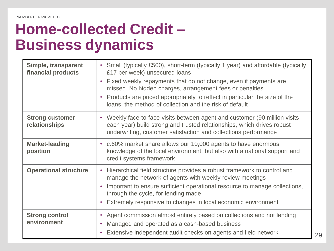### **Home-collected Credit – Business dynamics**

| Simple, transparent<br>financial products | Small (typically £500), short-term (typically 1 year) and affordable (typically<br>$\bullet$<br>£17 per week) unsecured loans<br>Fixed weekly repayments that do not change, even if payments are<br>$\bullet$<br>missed. No hidden charges, arrangement fees or penalties<br>Products are priced appropriately to reflect in particular the size of the<br>$\bullet$<br>loans, the method of collection and the risk of default |
|-------------------------------------------|----------------------------------------------------------------------------------------------------------------------------------------------------------------------------------------------------------------------------------------------------------------------------------------------------------------------------------------------------------------------------------------------------------------------------------|
| <b>Strong customer</b><br>relationships   | • Weekly face-to-face visits between agent and customer (90 million visits<br>each year) build strong and trusted relationships, which drives robust<br>underwriting, customer satisfaction and collections performance                                                                                                                                                                                                          |
| <b>Market-leading</b><br>position         | • c.60% market share allows our 10,000 agents to have enormous<br>knowledge of the local environment, but also with a national support and<br>credit systems framework                                                                                                                                                                                                                                                           |
| <b>Operational structure</b>              | Hierarchical field structure provides a robust framework to control and<br>$\bullet$<br>manage the network of agents with weekly review meetings<br>Important to ensure sufficient operational resource to manage collections,<br>$\bullet$<br>through the cycle, for lending made<br>Extremely responsive to changes in local economic environment                                                                              |
| <b>Strong control</b><br>environment      | Agent commission almost entirely based on collections and not lending<br>Managed and operated as a cash-based business<br>۰<br>Extensive independent audit checks on agents and field network<br>$\bullet$                                                                                                                                                                                                                       |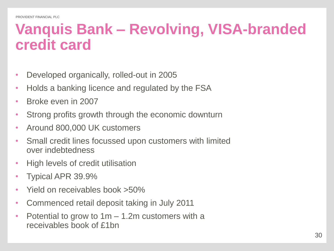#### **Vanquis Bank – Revolving, VISA-branded credit card**

- Developed organically, rolled-out in 2005
- Holds a banking licence and regulated by the FSA
- Broke even in 2007
- Strong profits growth through the economic downturn
- Around 800,000 UK customers
- Small credit lines focussed upon customers with limited over indebtedness
- High levels of credit utilisation
- Typical APR 39.9%
- Yield on receivables book >50%
- Commenced retail deposit taking in July 2011
- Potential to grow to 1m 1.2m customers with a receivables book of £1bn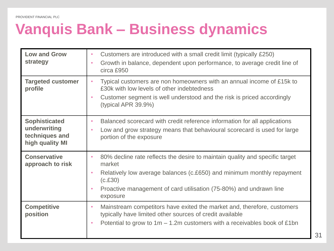## **Vanquis Bank – Business dynamics**

| <b>Low and Grow</b><br>strategy                                           | Customers are introduced with a small credit limit (typically £250)<br>۰<br>Growth in balance, dependent upon performance, to average credit line of<br>$\bullet$<br>circa £950                                                                                                                      |
|---------------------------------------------------------------------------|------------------------------------------------------------------------------------------------------------------------------------------------------------------------------------------------------------------------------------------------------------------------------------------------------|
| <b>Targeted customer</b><br>profile                                       | Typical customers are non homeowners with an annual income of £15k to<br>$\bullet$<br>£30k with low levels of other indebtedness<br>Customer segment is well understood and the risk is priced accordingly<br>$\bullet$<br>(typical APR $39.9\%$ )                                                   |
| <b>Sophisticated</b><br>underwriting<br>techniques and<br>high quality MI | Balanced scorecard with credit reference information for all applications<br>$\bullet$<br>Low and grow strategy means that behavioural scorecard is used for large<br>$\bullet$<br>portion of the exposure                                                                                           |
| <b>Conservative</b><br>approach to risk                                   | 80% decline rate reflects the desire to maintain quality and specific target<br>$\bullet$<br>market<br>Relatively low average balances (c.£650) and minimum monthly repayment<br>$\bullet$<br>(c.E30)<br>Proactive management of card utilisation (75-80%) and undrawn line<br>$\bullet$<br>exposure |
| <b>Competitive</b><br>position                                            | Mainstream competitors have exited the market and, therefore, customers<br>$\bullet$<br>typically have limited other sources of credit available<br>Potential to grow to $1m - 1.2m$ customers with a receivables book of £1bn<br>$\bullet$                                                          |